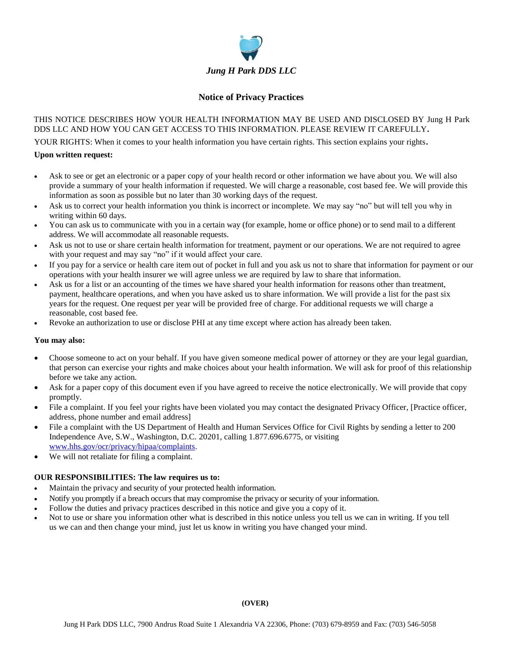

### **Notice of Privacy Practices**

### THIS NOTICE DESCRIBES HOW YOUR HEALTH INFORMATION MAY BE USED AND DISCLOSED BY Jung H Park DDS LLC AND HOW YOU CAN GET ACCESS TO THIS INFORMATION. PLEASE REVIEW IT CAREFULLY**.**

YOUR RIGHTS: When it comes to your health information you have certain rights. This section explains your rights**.**

#### **Upon written request:**

- Ask to see or get an electronic or a paper copy of your health record or other information we have about you. We will also provide a summary of your health information if requested. We will charge a reasonable, cost based fee. We will provide this information as soon as possible but no later than 30 working days of the request.
- Ask us to correct your health information you think is incorrect or incomplete. We may say "no" but will tell you why in writing within 60 days.
- You can ask us to communicate with you in a certain way (for example, home or office phone) or to send mail to a different address. We will accommodate all reasonable requests.
- Ask us not to use or share certain health information for treatment, payment or our operations. We are not required to agree with your request and may say "no" if it would affect your care.
- If you pay for a service or health care item out of pocket in full and you ask us not to share that information for payment or our operations with your health insurer we will agree unless we are required by law to share that information.
- Ask us for a list or an accounting of the times we have shared your health information for reasons other than treatment, payment, healthcare operations, and when you have asked us to share information. We will provide a list for the past six years for the request. One request per year will be provided free of charge. For additional requests we will charge a reasonable, cost based fee.
- Revoke an authorization to use or disclose PHI at any time except where action has already been taken.

#### **You may also:**

- Choose someone to act on your behalf. If you have given someone medical power of attorney or they are your legal guardian, that person can exercise your rights and make choices about your health information. We will ask for proof of this relationship before we take any action.
- Ask for a paper copy of this document even if you have agreed to receive the notice electronically. We will provide that copy promptly.
- File a complaint. If you feel your rights have been violated you may contact the designated Privacy Officer, [Practice officer, address, phone number and email address]
- File a complaint with the US Department of Health and Human Services Office for Civil Rights by sending a letter to 200 Independence Ave, S.W., Washington, D.C. 20201, calling 1.877.696.6775, or visiting [www.hhs.gov/ocr/privacy/hipaa/complaints.](http://www.hhs.gov/ocr/privacy/hipaa/complaints)
- We will not retaliate for filing a complaint.

#### **OUR RESPONSIBILITIES: The law requires us to:**

- Maintain the privacy and security of your protected health information.
- Notify you promptly if a breach occurs that may compromise the privacy or security of your information.
- Follow the duties and privacy practices described in this notice and give you a copy of it.
- Not to use or share you information other what is described in this notice unless you tell us we can in writing. If you tell us we can and then change your mind, just let us know in writing you have changed your mind.

#### **(OVER)**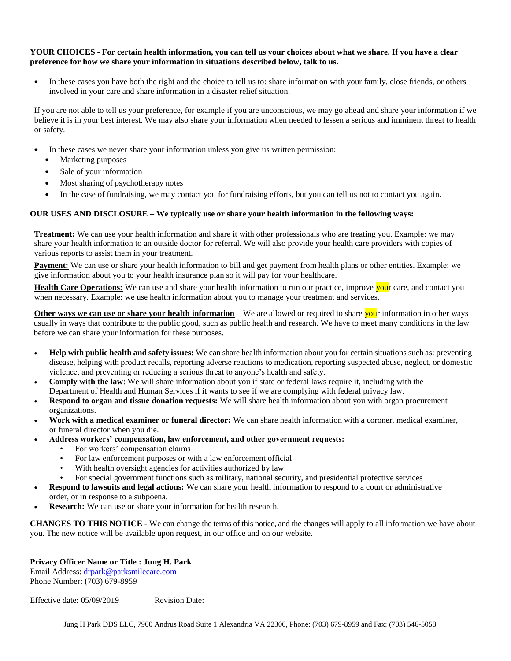#### **YOUR CHOICES - For certain health information, you can tell us your choices about what we share. If you have a clear preference for how we share your information in situations described below, talk to us.**

In these cases you have both the right and the choice to tell us to: share information with your family, close friends, or others involved in your care and share information in a disaster relief situation.

If you are not able to tell us your preference, for example if you are unconscious, we may go ahead and share your information if we believe it is in your best interest. We may also share your information when needed to lessen a serious and imminent threat to health or safety.

- In these cases we never share your information unless you give us written permission:
	- Marketing purposes
	- Sale of your information
	- Most sharing of psychotherapy notes
	- In the case of fundraising, we may contact you for fundraising efforts, but you can tell us not to contact you again.

#### **OUR USES AND DISCLOSURE – We typically use or share your health information in the following ways:**

**Treatment:** We can use your health information and share it with other professionals who are treating you. Example: we may share your health information to an outside doctor for referral. We will also provide your health care providers with copies of various reports to assist them in your treatment.

**Payment:** We can use or share your health information to bill and get payment from health plans or other entities. Example: we give information about you to your health insurance plan so it will pay for your healthcare.

**Health Care Operations:** We can use and share your health information to run our practice, improve your care, and contact you when necessary. Example: we use health information about you to manage your treatment and services.

**Other ways we can use or share your health information** – We are allowed or required to share your information in other ways – usually in ways that contribute to the public good, such as public health and research. We have to meet many conditions in the law before we can share your information for these purposes.

- **Help with public health and safety issues:** We can share health information about you for certain situations such as: preventing disease, helping with product recalls, reporting adverse reactions to medication, reporting suspected abuse, neglect, or domestic violence, and preventing or reducing a serious threat to anyone's health and safety.
- **Comply with the law**: We will share information about you if state or federal laws require it, including with the Department of Health and Human Services if it wants to see if we are complying with federal privacy law.
- **Respond to organ and tissue donation requests:** We will share health information about you with organ procurement organizations.
- **Work with a medical examiner or funeral director:** We can share health information with a coroner, medical examiner, or funeral director when you die.
- **Address workers' compensation, law enforcement, and other government requests:**
	- For workers' compensation claims
		- For law enforcement purposes or with a law enforcement official
		- With health oversight agencies for activities authorized by law
		- For special government functions such as military, national security, and presidential protective services
- **Respond to lawsuits and legal actions:** We can share your health information to respond to a court or administrative order, or in response to a subpoena.
- **Research:** We can use or share your information for health research.

**CHANGES TO THIS NOTICE -** We can change the terms of this notice, and the changes will apply to all information we have about you. The new notice will be available upon request, in our office and on our website.

#### **Privacy Officer Name or Title : Jung H. Park**

Email Address: [drpark@parksmilecare.com](mailto:drpark@parksmilecare.com) Phone Number: (703) 679-8959

Effective date: 05/09/2019 Revision Date: